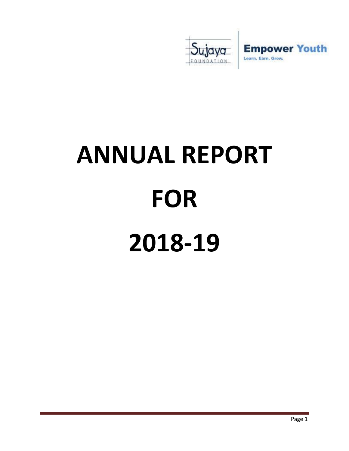

# **ANNUAL REPORT FOR 2018-19**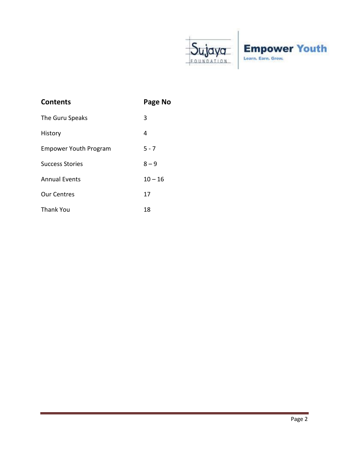

| <b>Contents</b>              | Page No   |
|------------------------------|-----------|
| The Guru Speaks              | 3         |
| History                      | 4         |
| <b>Empower Youth Program</b> | $5 - 7$   |
| <b>Success Stories</b>       | $8 - 9$   |
| <b>Annual Events</b>         | $10 - 16$ |
| <b>Our Centres</b>           | 17        |
| <b>Thank You</b>             | 18        |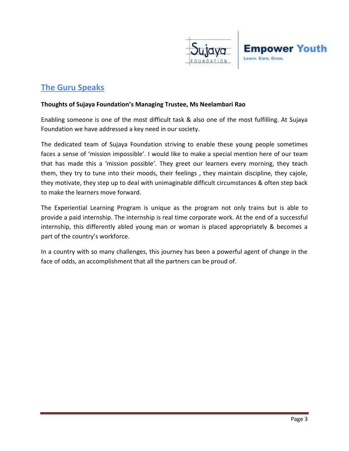

## **The Guru Speaks**

#### **Thoughts of Sujaya Foundation's Managing Trustee, Ms Neelambari Rao**

Enabling someone is one of the most difficult task & also one of the most fulfilling. At Sujaya Foundation we have addressed a key need in our society.

The dedicated team of Sujaya Foundation striving to enable these young people sometimes faces a sense of 'mission impossible'. I would like to make a special mention here of our team that has made this a 'mission possible'. They greet our learners every morning, they teach them, they try to tune into their moods, their feelings , they maintain discipline, they cajole, they motivate, they step up to deal with unimaginable difficult circumstances & often step back to make the learners move forward.

The Experiential Learning Program is unique as the program not only trains but is able to provide a paid internship. The internship is real time corporate work. At the end of a successful internship, this differently abled young man or woman is placed appropriately & becomes a part of the country's workforce.

In a country with so many challenges, this journey has been a powerful agent of change in the face of odds, an accomplishment that all the partners can be proud of.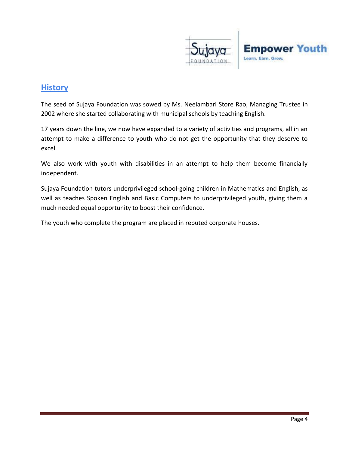

## **History**

The seed of Sujaya Foundation was sowed by Ms. Neelambari Store Rao, Managing Trustee in 2002 where she started collaborating with municipal schools by teaching English.

17 years down the line, we now have expanded to a variety of activities and programs, all in an attempt to make a difference to youth who do not get the opportunity that they deserve to excel.

We also work with youth with disabilities in an attempt to help them become financially independent.

Sujaya Foundation tutors underprivileged school-going children in Mathematics and English, as well as teaches Spoken English and Basic Computers to underprivileged youth, giving them a much needed equal opportunity to boost their confidence.

The youth who complete the program are placed in reputed corporate houses.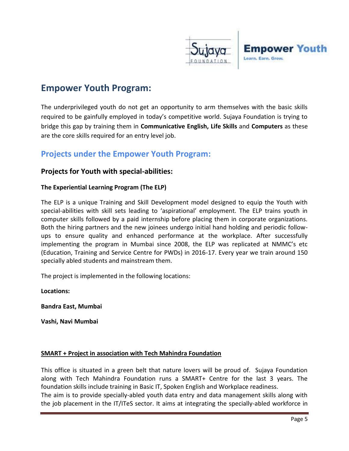

## **Empower Youth Program:**

The underprivileged youth do not get an opportunity to arm themselves with the basic skills required to be gainfully employed in today's competitive world. Sujaya Foundation is trying to bridge this gap by training them in **Communicative English, Life Skills** and **Computers** as these are the core skills required for an entry level job.

## **Projects under the Empower Youth Program:**

#### **Projects for Youth with special-abilities:**

#### **The Experiential Learning Program (The ELP)**

The ELP is a unique Training and Skill Development model designed to equip the Youth with special-abilities with skill sets leading to 'aspirational' employment. The ELP trains youth in computer skills followed by a paid internship before placing them in corporate organizations. Both the hiring partners and the new joinees undergo initial hand holding and periodic followups to ensure quality and enhanced performance at the workplace. After successfully implementing the program in Mumbai since 2008, the ELP was replicated at NMMC's etc (Education, Training and Service Centre for PWDs) in 2016-17. Every year we train around 150 specially abled students and mainstream them.

The project is implemented in the following locations:

**Locations:**

**Bandra East, Mumbai**

**Vashi, Navi Mumbai**

#### **SMART + Project in association with Tech Mahindra Foundation**

This office is situated in a green belt that nature lovers will be proud of. Sujaya Foundation along with Tech Mahindra Foundation runs a SMART+ Centre for the last 3 years. The foundation skills include training in Basic IT, Spoken English and Workplace readiness.

The aim is to provide specially-abled youth data entry and data management skills along with the job placement in the IT/ITeS sector. It aims at integrating the specially-abled workforce in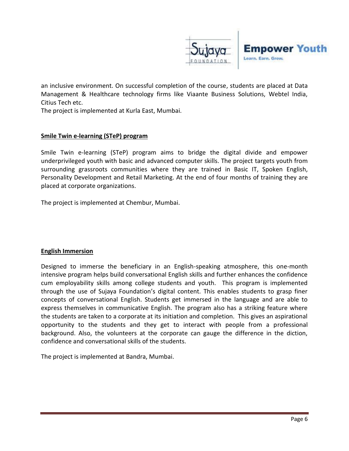

an inclusive environment. On successful completion of the course, students are placed at Data Management & Healthcare technology firms like Viaante Business Solutions, Webtel India, Citius Tech etc.

The project is implemented at Kurla East, Mumbai.

#### **Smile Twin e-learning (STeP) program**

Smile Twin e-learning (STeP) program aims to bridge the digital divide and empower underprivileged youth with basic and advanced computer skills. The project targets youth from surrounding grassroots communities where they are trained in Basic IT, Spoken English, Personality Development and Retail Marketing. At the end of four months of training they are placed at corporate organizations.

The project is implemented at Chembur, Mumbai.

#### **English Immersion**

Designed to immerse the beneficiary in an English-speaking atmosphere, this one-month intensive program helps build conversational English skills and further enhances the confidence cum employability skills among college students and youth. This program is implemented through the use of Sujaya Foundation's digital content. This enables students to grasp finer concepts of conversational English. Students get immersed in the language and are able to express themselves in communicative English. The program also has a striking feature where the students are taken to a corporate at its initiation and completion. This gives an aspirational opportunity to the students and they get to interact with people from a professional background. Also, the volunteers at the corporate can gauge the difference in the diction, confidence and conversational skills of the students.

The project is implemented at Bandra, Mumbai.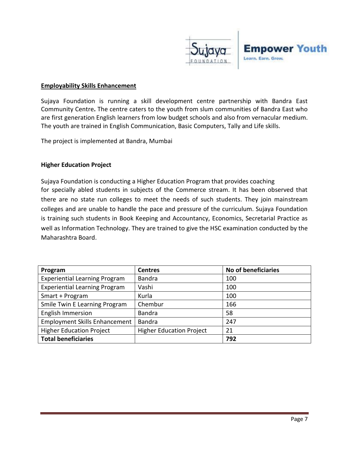

#### **Employability Skills Enhancement**

Sujaya Foundation is running a skill development centre partnership with Bandra East Community Centre**.** The centre caters to the youth from slum communities of Bandra East who are first generation English learners from low budget schools and also from vernacular medium. The youth are trained in English Communication, Basic Computers, Tally and Life skills.

The project is implemented at Bandra, Mumbai

#### **Higher Education Project**

Sujaya Foundation is conducting a Higher Education Program that provides coaching for specially abled students in subjects of the Commerce stream. It has been observed that there are no state run colleges to meet the needs of such students. They join mainstream colleges and are unable to handle the pace and pressure of the curriculum. Sujaya Foundation is training such students in Book Keeping and Accountancy, Economics, Secretarial Practice as well as Information Technology. They are trained to give the HSC examination conducted by the Maharashtra Board.

| Program                              | <b>Centres</b>                  | No of beneficiaries |
|--------------------------------------|---------------------------------|---------------------|
| <b>Experiential Learning Program</b> | <b>Bandra</b>                   | 100                 |
| <b>Experiential Learning Program</b> | Vashi                           | 100                 |
| Smart + Program                      | Kurla                           | 100                 |
| Smile Twin E Learning Program        | Chembur                         | 166                 |
| <b>English Immersion</b>             | <b>Bandra</b>                   | 58                  |
| <b>Employment Skills Enhancement</b> | Bandra                          | 247                 |
| <b>Higher Education Project</b>      | <b>Higher Education Project</b> | 21                  |
| <b>Total beneficiaries</b>           |                                 | 792                 |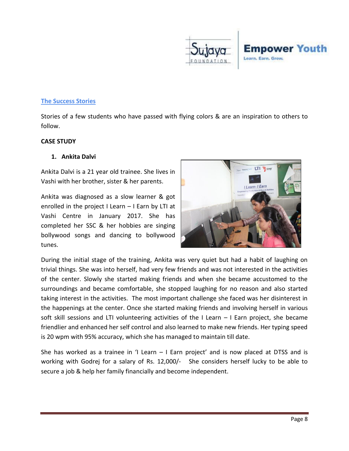

#### **The Success Stories**

Stories of a few students who have passed with flying colors & are an inspiration to others to follow.

#### **CASE STUDY**

#### **1. Ankita Dalvi**

Ankita Dalvi is a 21 year old trainee. She lives in Vashi with her brother, sister & her parents.

Ankita was diagnosed as a slow learner & got enrolled in the project I Learn – I Earn by LTI at Vashi Centre in January 2017. She has completed her SSC & her hobbies are singing bollywood songs and dancing to bollywood tunes.



During the initial stage of the training, Ankita was very quiet but had a habit of laughing on trivial things. She was into herself, had very few friends and was not interested in the activities of the center. Slowly she started making friends and when she became accustomed to the surroundings and became comfortable, she stopped laughing for no reason and also started taking interest in the activities. The most important challenge she faced was her disinterest in the happenings at the center. Once she started making friends and involving herself in various soft skill sessions and LTI volunteering activities of the I Learn – I Earn project, she became friendlier and enhanced her self control and also learned to make new friends. Her typing speed is 20 wpm with 95% accuracy, which she has managed to maintain till date.

She has worked as a trainee in 'I Learn  $-1$  Earn project' and is now placed at DTSS and is working with Godrej for a salary of Rs. 12,000/- She considers herself lucky to be able to secure a job & help her family financially and become independent.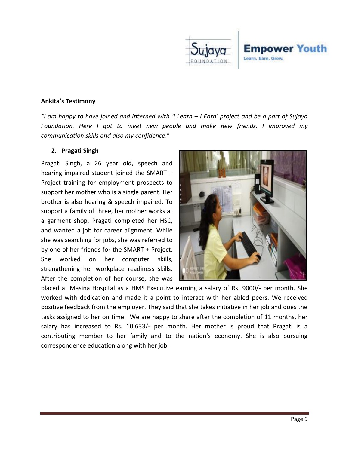

#### **Ankita's Testimony**

*"I am happy to have joined and interned with 'I Learn – I Earn' project and be a part of Sujaya Foundation. Here I got to meet new people and make new friends. I improved my communication skills and also my confidence*."

#### **2. Pragati Singh**

Pragati Singh, a 26 year old, speech and hearing impaired student joined the SMART + Project training for employment prospects to support her mother who is a single parent. Her brother is also hearing & speech impaired. To support a family of three, her mother works at a garment shop. Pragati completed her HSC, and wanted a job for career alignment. While she was searching for jobs, she was referred to by one of her friends for the SMART + Project. She worked on her computer skills, strengthening her workplace readiness skills. After the completion of her course, she was



placed at Masina Hospital as a HMS Executive earning a salary of Rs. 9000/- per month. She worked with dedication and made it a point to interact with her abled peers. We received positive feedback from the employer. They said that she takes initiative in her job and does the tasks assigned to her on time. We are happy to share after the completion of 11 months, her salary has increased to Rs. 10,633/- per month. Her mother is proud that Pragati is a contributing member to her family and to the nation's economy. She is also pursuing correspondence education along with her job.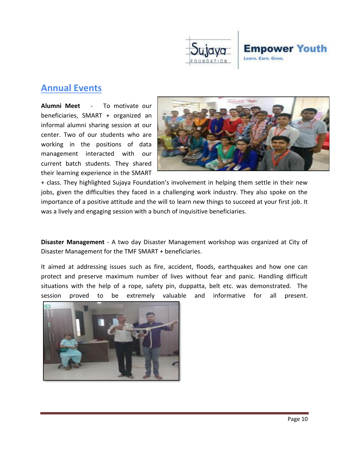

# **Annual Events**

**Alumni Meet** - To motivate our beneficiaries, SMART + organized an informal alumni sharing session at our center. Two of our students who are working in the positions of data management interacted with our current batch students. They shared their learning experience in the SMART



+ class. They highlighted Sujaya Foundation's involvement in helping them settle in their new jobs, given the difficulties they faced in a challenging work industry. They also spoke on the importance of a positive attitude and the will to learn new things to succeed at your first job. It was a lively and engaging session with a bunch of inquisitive beneficiaries.

**Disaster Management** - A two day Disaster Management workshop was organized at City of Disaster Management for the TMF SMART + beneficiaries.

It aimed at addressing issues such as fire, accident, floods, earthquakes and how one can protect and preserve maximum number of lives without fear and panic. Handling difficult situations with the help of a rope, safety pin, duppatta, belt etc. was demonstrated. The session proved to be extremely valuable and informative for all present.

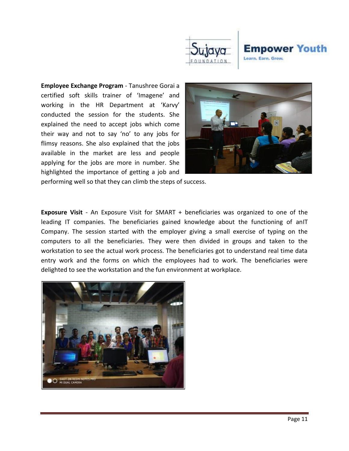

**Employee Exchange Program** - Tanushree Gorai a certified soft skills trainer of 'Imagene' and working in the HR Department at 'Karvy' conducted the session for the students. She explained the need to accept jobs which come their way and not to say 'no' to any jobs for flimsy reasons. She also explained that the jobs available in the market are less and people applying for the jobs are more in number. She highlighted the importance of getting a job and



performing well so that they can climb the steps of success.

**Exposure Visit** - An Exposure Visit for SMART + beneficiaries was organized to one of the leading IT companies. The beneficiaries gained knowledge about the functioning of anIT Company. The session started with the employer giving a small exercise of typing on the computers to all the beneficiaries. They were then divided in groups and taken to the workstation to see the actual work process. The beneficiaries got to understand real time data entry work and the forms on which the employees had to work. The beneficiaries were delighted to see the workstation and the fun environment at workplace.

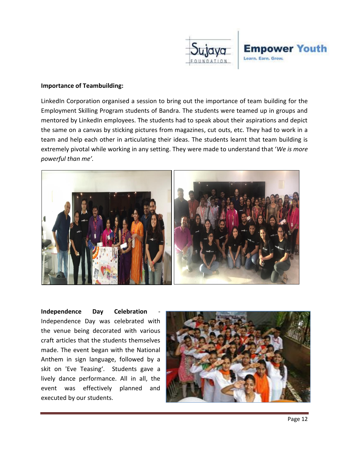

#### **Importance of Teambuilding:**

LinkedIn Corporation organised a session to bring out the importance of team building for the Employment Skilling Program students of Bandra. The students were teamed up in groups and mentored by LinkedIn employees. The students had to speak about their aspirations and depict the same on a canvas by sticking pictures from magazines, cut outs, etc. They had to work in a team and help each other in articulating their ideas. The students learnt that team building is extremely pivotal while working in any setting. They were made to understand that '*We is more powerful than me'.* 



**Independence Day Celebration** Independence Day was celebrated with the venue being decorated with various craft articles that the students themselves made. The event began with the National Anthem in sign language, followed by a skit on 'Eve Teasing'. Students gave a lively dance performance. All in all, the event was effectively planned and executed by our students.

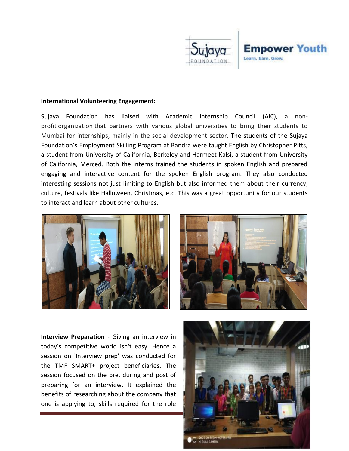



#### **International Volunteering Engagement:**

Sujaya Foundation has liaised with Academic Internship Council (AIC), a nonprofit organization that partners with various global universities to bring their students to Mumbai for internships, mainly in the social development sector. The students of the Sujaya Foundation's Employment Skilling Program at Bandra were taught English by Christopher Pitts, a student from University of California, Berkeley and Harmeet Kalsi, a student from University of California, Merced. Both the interns trained the students in spoken English and prepared engaging and interactive content for the spoken English program. They also conducted interesting sessions not just limiting to English but also informed them about their currency, culture, festivals like Halloween, Christmas, etc. This was a great opportunity for our students to interact and learn about other cultures.





**Interview Preparation** - Giving an interview in today's competitive world isn't easy. Hence a session on 'Interview prep' was conducted for the TMF SMART+ project beneficiaries. The session focused on the pre, during and post of preparing for an interview. It explained the benefits of researching about the company that one is applying to, skills required for the role

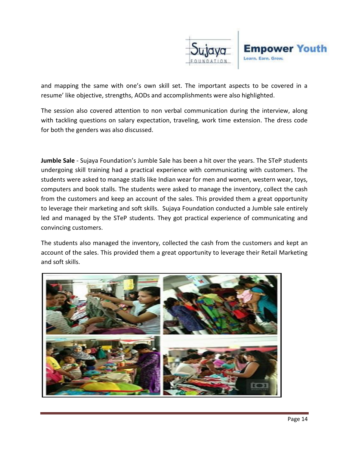

and mapping the same with one's own skill set. The important aspects to be covered in a resume' like objective, strengths, AODs and accomplishments were also highlighted.

The session also covered attention to non verbal communication during the interview, along with tackling questions on salary expectation, traveling, work time extension. The dress code for both the genders was also discussed.

**Jumble Sale** - Sujaya Foundation's Jumble Sale has been a hit over the years. The STeP students undergoing skill training had a practical experience with communicating with customers. The students were asked to manage stalls like Indian wear for men and women, western wear, toys, computers and book stalls. The students were asked to manage the inventory, collect the cash from the customers and keep an account of the sales. This provided them a great opportunity to leverage their marketing and soft skills. Sujaya Foundation conducted a Jumble sale entirely led and managed by the STeP students. They got practical experience of communicating and convincing customers.

The students also managed the inventory, collected the cash from the customers and kept an account of the sales. This provided them a great opportunity to leverage their Retail Marketing and soft skills.

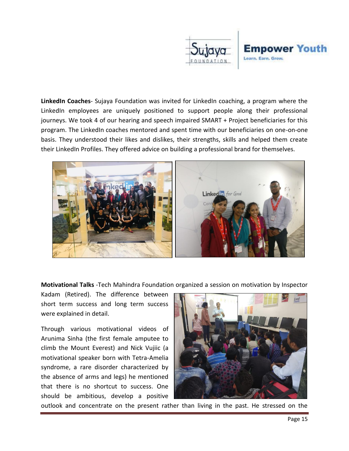

**LinkedIn Coaches**- Sujaya Foundation was invited for LinkedIn coaching, a program where the LinkedIn employees are uniquely positioned to support people along their professional journeys. We took 4 of our hearing and speech impaired SMART + Project beneficiaries for this program. The LinkedIn coaches mentored and spent time with our beneficiaries on one-on-one basis. They understood their likes and dislikes, their strengths, skills and helped them create their LinkedIn Profiles. They offered advice on building a professional brand for themselves.



**Motivational Talks** -Tech Mahindra Foundation organized a session on motivation by Inspector

Kadam (Retired). The difference between short term success and long term success were explained in detail.

Through various motivational videos of Arunima Sinha (the first female amputee to climb the Mount Everest) and Nick Vujiic (a motivational speaker born with Tetra-Amelia syndrome, a rare disorder characterized by the absence of arms and legs) he mentioned that there is no shortcut to success. One should be ambitious, develop a positive



outlook and concentrate on the present rather than living in the past. He stressed on the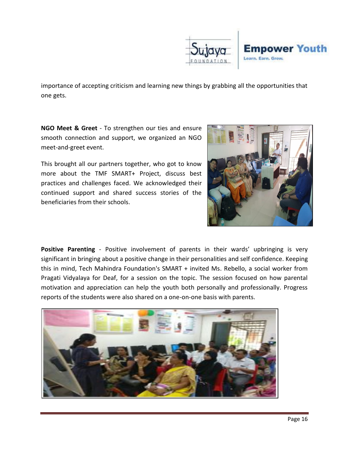

importance of accepting criticism and learning new things by grabbing all the opportunities that one gets.

**NGO Meet & Greet** - To strengthen our ties and ensure smooth connection and support, we organized an NGO meet-and-greet event.

This brought all our partners together, who got to know more about the TMF SMART+ Project, discuss best practices and challenges faced. We acknowledged their continued support and shared success stories of the beneficiaries from their schools.



**Positive Parenting** - Positive involvement of parents in their wards' upbringing is very significant in bringing about a positive change in their personalities and self confidence. Keeping this in mind, Tech Mahindra Foundation's SMART + invited Ms. Rebello, a social worker from Pragati Vidyalaya for Deaf, for a session on the topic. The session focused on how parental motivation and appreciation can help the youth both personally and professionally. Progress reports of the students were also shared on a one-on-one basis with parents.

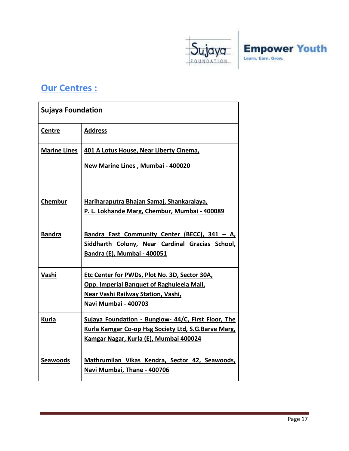

# **Our Centres :**

| <b>Sujaya Foundation</b> |                                                                                                                                                                 |  |
|--------------------------|-----------------------------------------------------------------------------------------------------------------------------------------------------------------|--|
| Centre                   | <b>Address</b>                                                                                                                                                  |  |
| <b>Marine Lines</b>      | 401 A Lotus House, Near Liberty Cinema,<br>New Marine Lines, Mumbai - 400020                                                                                    |  |
|                          |                                                                                                                                                                 |  |
| Chembur                  | Hariharaputra Bhajan Samaj, Shankaralaya,<br>P. L. Lokhande Marg, Chembur, Mumbai - 400089                                                                      |  |
| <b>Bandra</b>            | Bandra East Community Center (BECC), 341 - A,<br>Siddharth Colony, Near Cardinal Gracias School,<br>Bandra (E), Mumbai - 400051                                 |  |
| Vashi                    | Etc Center for PWDs, Plot No. 3D, Sector 30A,<br>Opp. Imperial Banquet of Raghuleela Mall,<br><b>Near Vashi Railway Station, Vashi,</b><br>Navi Mumbai - 400703 |  |
| Kurla                    | Sujaya Foundation - Bunglow- 44/C, First Floor, The<br>Kurla Kamgar Co-op Hsg Society Ltd, S.G.Barve Marg,<br>Kamgar Nagar, Kurla (E), Mumbai 400024            |  |
| <b>Seawoods</b>          | Mathrumilan Vikas Kendra, Sector 42, Seawoods,<br>Navi Mumbai, Thane - 400706                                                                                   |  |